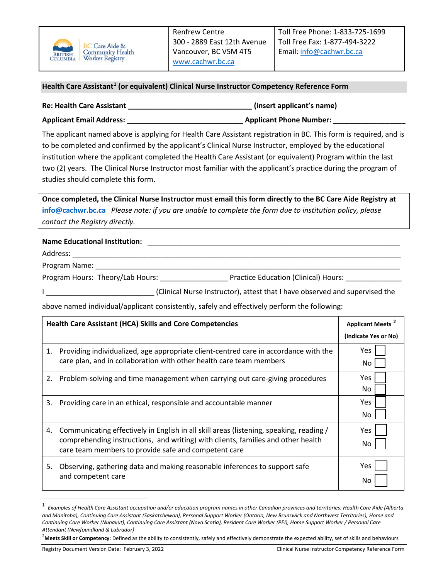

## **Health Care Assistant[1](#page-0-0) (or equivalent) Clinical Nurse Instructor Competency Reference Form**

| <b>Re: Health Care Assistant</b> | (insert applicant's name)      |
|----------------------------------|--------------------------------|
| <b>Applicant Email Address:</b>  | <b>Applicant Phone Number:</b> |

The applicant named above is applying for Health Care Assistant registration in BC. This form is required, and is to be completed and confirmed by the applicant's Clinical Nurse Instructor, employed by the educational institution where the applicant completed the Health Care Assistant (or equivalent) Program within the last two (2) years. The Clinical Nurse Instructor most familiar with the applicant's practice during the program of studies should complete this form.

**Once completed, the Clinical Nurse Instructor must email this form directly to the BC Care Aide Registry at [info@cachwr.bc.ca](mailto:info@cachwr.bc.ca)** *Please note: if you are unable to complete the form due to institution policy, please contact the Registry directly.*

## **Name Educational Institution:** \_\_\_\_\_\_\_\_\_\_\_\_\_\_\_\_\_\_\_\_\_\_\_\_\_\_\_\_\_\_\_\_\_\_\_\_\_\_\_\_\_\_\_\_\_\_\_\_\_\_\_\_\_\_\_\_\_\_\_\_\_\_\_

Address: \_\_\_\_\_\_\_\_\_\_\_\_\_\_\_\_\_\_\_\_\_\_\_\_\_\_\_\_\_\_\_\_\_\_\_\_\_\_\_\_\_\_\_\_\_\_\_\_\_\_\_\_\_\_\_\_\_\_\_\_\_\_\_\_\_\_\_\_\_\_\_\_\_\_\_\_\_\_\_\_\_\_

Program Name: \_\_

Program Hours: Theory/Lab Hours: \_\_\_\_\_\_\_\_\_\_\_\_\_\_\_\_\_\_\_\_\_\_\_\_\_\_Practice Education (Clinical) Hours: \_\_\_\_

I \_\_\_\_\_\_\_\_\_\_\_\_\_\_\_\_\_\_\_\_\_\_\_\_\_\_\_ (Clinical Nurse Instructor), attest that I have observed and supervised the

above named individual/applicant consistently, safely and effectively perform the following:

| <b>Health Care Assistant (HCA) Skills and Core Competencies</b> |                                                                                                                                                                                                                                     | Applicant Meets <sup>2</sup> |
|-----------------------------------------------------------------|-------------------------------------------------------------------------------------------------------------------------------------------------------------------------------------------------------------------------------------|------------------------------|
|                                                                 |                                                                                                                                                                                                                                     | (Indicate Yes or No)         |
| 1.                                                              | Providing individualized, age appropriate client-centred care in accordance with the<br>care plan, and in collaboration with other health care team members                                                                         | Yes.<br>No                   |
| 2.                                                              | Problem-solving and time management when carrying out care-giving procedures                                                                                                                                                        | Yes<br>No                    |
| 3.                                                              | Providing care in an ethical, responsible and accountable manner                                                                                                                                                                    | Yes<br>No                    |
| 4.                                                              | Communicating effectively in English in all skill areas (listening, speaking, reading /<br>comprehending instructions, and writing) with clients, families and other health<br>care team members to provide safe and competent care | Yes<br>No                    |
| 5.                                                              | Observing, gathering data and making reasonable inferences to support safe<br>and competent care                                                                                                                                    | Yes.<br>No                   |

<span id="page-0-0"></span><sup>1</sup> *Examples of Health Care Assistant occupation and/or education program names in other Canadian provinces and territories: Health Care Aide (Alberta and Manitoba), Continuing Care Assistant (Saskatchewan), Personal Support Worker (Ontario, New Brunswick and Northwest Territories), Home and Continuing Care Worker (Nunavut), Continuing Care Assistant (Nova Scotia), Resident Care Worker (PEI), Home Support Worker / Personal Care Attendant (Newfoundland & Labrador)*

<span id="page-0-1"></span><sup>&</sup>lt;sup>2</sup>Meets Skill or Competency: Defined as the ability to consistently, safely and effectively demonstrate the expected ability, set of skills and behaviours